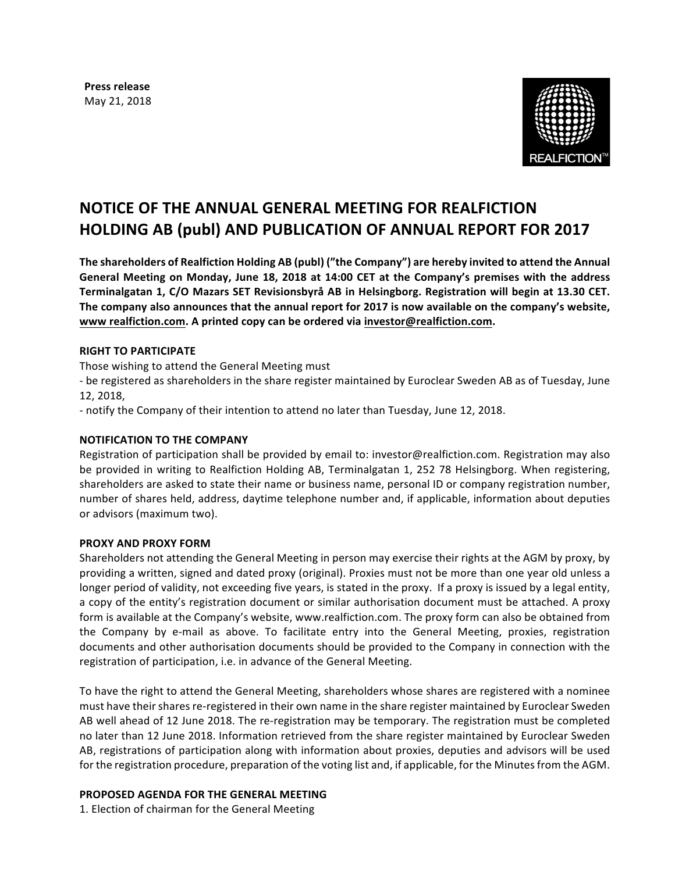**Press release** May 21, 2018



# **NOTICE OF THE ANNUAL GENERAL MEETING FOR REALFICTION HOLDING AB (publ) AND PUBLICATION OF ANNUAL REPORT FOR 2017**

The shareholders of Realfiction Holding AB (publ) ("the Company") are hereby invited to attend the Annual **General Meeting on Monday, June 18, 2018 at 14:00 CET at the Company's premises with the address Terminalgatan 1, C/O Mazars SET Revisionsbyrå AB in Helsingborg. Registration will begin at 13.30 CET.** The company also announces that the annual report for 2017 is now available on the company's website, **www realfiction.com. A printed copy can be ordered via investor@realfiction.com.**

## **RIGHT TO PARTICIPATE**

Those wishing to attend the General Meeting must

- be registered as shareholders in the share register maintained by Euroclear Sweden AB as of Tuesday, June 12, 2018,

- notify the Company of their intention to attend no later than Tuesday, June 12, 2018.

#### **NOTIFICATION TO THE COMPANY**

Registration of participation shall be provided by email to: investor@realfiction.com. Registration may also be provided in writing to Realfiction Holding AB, Terminalgatan 1, 252 78 Helsingborg. When registering, shareholders are asked to state their name or business name, personal ID or company registration number, number of shares held, address, daytime telephone number and, if applicable, information about deputies or advisors (maximum two).

#### **PROXY AND PROXY FORM**

Shareholders not attending the General Meeting in person may exercise their rights at the AGM by proxy, by providing a written, signed and dated proxy (original). Proxies must not be more than one year old unless a longer period of validity, not exceeding five years, is stated in the proxy. If a proxy is issued by a legal entity, a copy of the entity's registration document or similar authorisation document must be attached. A proxy form is available at the Company's website, www.realfiction.com. The proxy form can also be obtained from the Company by e-mail as above. To facilitate entry into the General Meeting, proxies, registration documents and other authorisation documents should be provided to the Company in connection with the registration of participation, i.e. in advance of the General Meeting.

To have the right to attend the General Meeting, shareholders whose shares are registered with a nominee must have their shares re-registered in their own name in the share register maintained by Euroclear Sweden AB well ahead of 12 June 2018. The re-registration may be temporary. The registration must be completed no later than 12 June 2018. Information retrieved from the share register maintained by Euroclear Sweden AB, registrations of participation along with information about proxies, deputies and advisors will be used for the registration procedure, preparation of the voting list and, if applicable, for the Minutes from the AGM.

#### **PROPOSED AGENDA FOR THE GENERAL MEETING**

1. Election of chairman for the General Meeting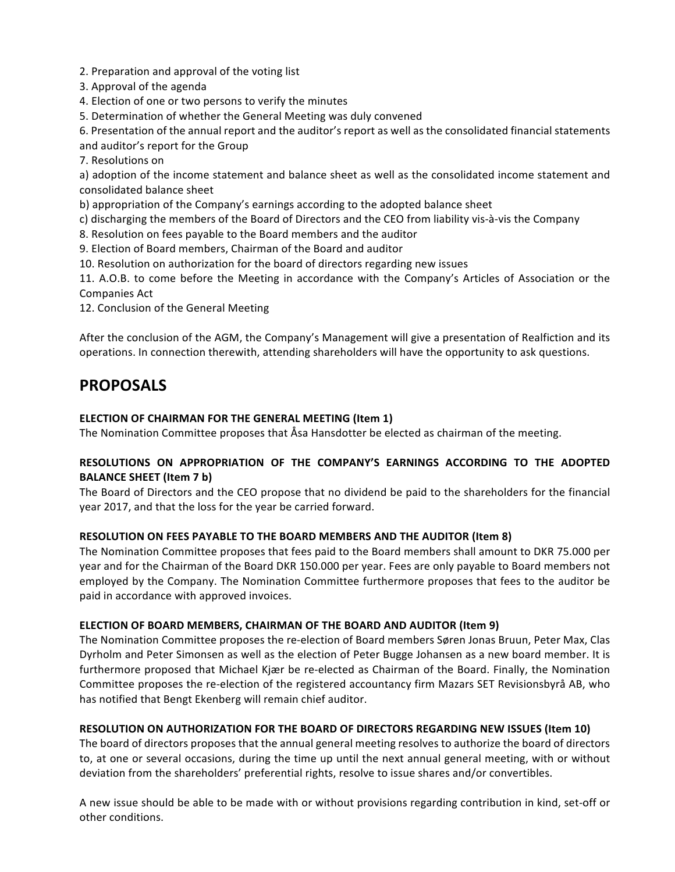2. Preparation and approval of the voting list

3. Approval of the agenda

4. Election of one or two persons to verify the minutes

5. Determination of whether the General Meeting was duly convened

6. Presentation of the annual report and the auditor's report as well as the consolidated financial statements

and auditor's report for the Group

7. Resolutions on

a) adoption of the income statement and balance sheet as well as the consolidated income statement and consolidated balance sheet

b) appropriation of the Company's earnings according to the adopted balance sheet

c) discharging the members of the Board of Directors and the CEO from liability vis-à-vis the Company

8. Resolution on fees payable to the Board members and the auditor

9. Election of Board members, Chairman of the Board and auditor

10. Resolution on authorization for the board of directors regarding new issues

11. A.O.B. to come before the Meeting in accordance with the Company's Articles of Association or the Companies Act

12. Conclusion of the General Meeting

After the conclusion of the AGM, the Company's Management will give a presentation of Realfiction and its operations. In connection therewith, attending shareholders will have the opportunity to ask questions.

## **PROPOSALS**

## **ELECTION OF CHAIRMAN FOR THE GENERAL MEETING (Item 1)**

The Nomination Committee proposes that Asa Hansdotter be elected as chairman of the meeting.

## **RESOLUTIONS ON APPROPRIATION OF THE COMPANY'S EARNINGS ACCORDING TO THE ADOPTED BALANCE SHEET (Item 7 b)**

The Board of Directors and the CEO propose that no dividend be paid to the shareholders for the financial year 2017, and that the loss for the year be carried forward.

## **RESOLUTION ON FEES PAYABLE TO THE BOARD MEMBERS AND THE AUDITOR (Item 8)**

The Nomination Committee proposes that fees paid to the Board members shall amount to DKR 75.000 per year and for the Chairman of the Board DKR 150.000 per year. Fees are only payable to Board members not employed by the Company. The Nomination Committee furthermore proposes that fees to the auditor be paid in accordance with approved invoices.

## **ELECTION OF BOARD MEMBERS, CHAIRMAN OF THE BOARD AND AUDITOR (Item 9)**

The Nomination Committee proposes the re-election of Board members Søren Jonas Bruun, Peter Max, Clas Dyrholm and Peter Simonsen as well as the election of Peter Bugge Johansen as a new board member. It is furthermore proposed that Michael Kjær be re-elected as Chairman of the Board. Finally, the Nomination Committee proposes the re-election of the registered accountancy firm Mazars SET Revisionsbyrå AB, who has notified that Bengt Ekenberg will remain chief auditor.

## **RESOLUTION ON AUTHORIZATION FOR THE BOARD OF DIRECTORS REGARDING NEW ISSUES (Item 10)**

The board of directors proposes that the annual general meeting resolves to authorize the board of directors to, at one or several occasions, during the time up until the next annual general meeting, with or without deviation from the shareholders' preferential rights, resolve to issue shares and/or convertibles.

A new issue should be able to be made with or without provisions regarding contribution in kind, set-off or other conditions.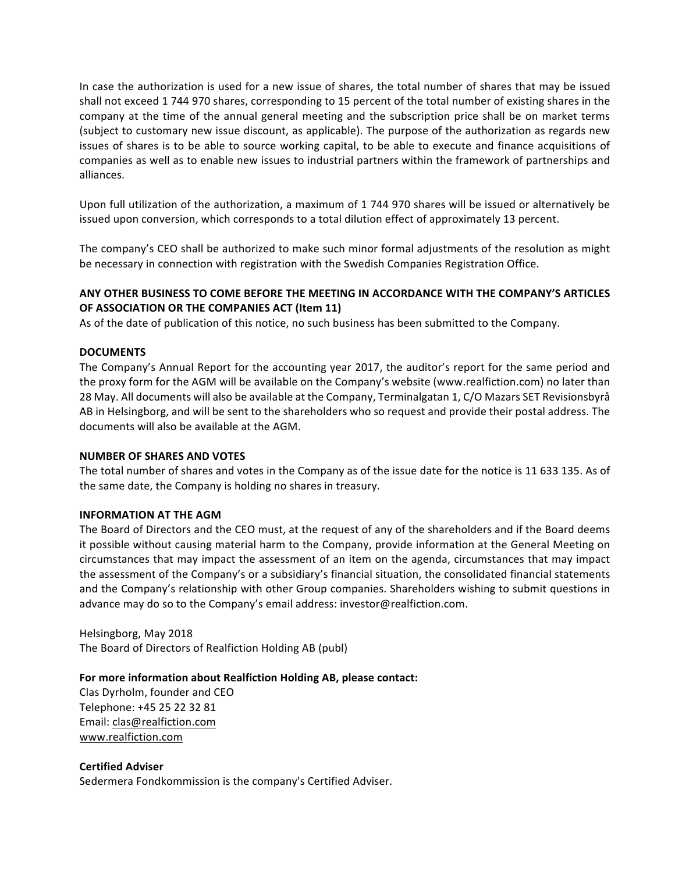In case the authorization is used for a new issue of shares, the total number of shares that may be issued shall not exceed 1 744 970 shares, corresponding to 15 percent of the total number of existing shares in the company at the time of the annual general meeting and the subscription price shall be on market terms (subject to customary new issue discount, as applicable). The purpose of the authorization as regards new issues of shares is to be able to source working capital, to be able to execute and finance acquisitions of companies as well as to enable new issues to industrial partners within the framework of partnerships and alliances.

Upon full utilization of the authorization, a maximum of 1 744 970 shares will be issued or alternatively be issued upon conversion, which corresponds to a total dilution effect of approximately 13 percent.

The company's CEO shall be authorized to make such minor formal adjustments of the resolution as might be necessary in connection with registration with the Swedish Companies Registration Office.

## ANY OTHER BUSINESS TO COME BEFORE THE MEETING IN ACCORDANCE WITH THE COMPANY'S ARTICLES **OF ASSOCIATION OR THE COMPANIES ACT (Item 11)**

As of the date of publication of this notice, no such business has been submitted to the Company.

## **DOCUMENTS**

The Company's Annual Report for the accounting year 2017, the auditor's report for the same period and the proxy form for the AGM will be available on the Company's website (www.realfiction.com) no later than 28 May. All documents will also be available at the Company, Terminalgatan 1, C/O Mazars SET Revisionsbyrå AB in Helsingborg, and will be sent to the shareholders who so request and provide their postal address. The documents will also be available at the AGM.

#### **NUMBER OF SHARES AND VOTES**

The total number of shares and votes in the Company as of the issue date for the notice is 11 633 135. As of the same date, the Company is holding no shares in treasury.

#### **INFORMATION AT THE AGM**

The Board of Directors and the CEO must, at the request of any of the shareholders and if the Board deems it possible without causing material harm to the Company, provide information at the General Meeting on circumstances that may impact the assessment of an item on the agenda, circumstances that may impact the assessment of the Company's or a subsidiary's financial situation, the consolidated financial statements and the Company's relationship with other Group companies. Shareholders wishing to submit questions in advance may do so to the Company's email address: investor@realfiction.com.

Helsingborg, May 2018 The Board of Directors of Realfiction Holding AB (publ)

## For more information about Realfiction Holding AB, please contact:

Clas Dyrholm, founder and CEO Telephone: +45 25 22 32 81 Email: clas@realfiction.com www.realfiction.com 

#### **Certified Adviser**

Sedermera Fondkommission is the company's Certified Adviser.